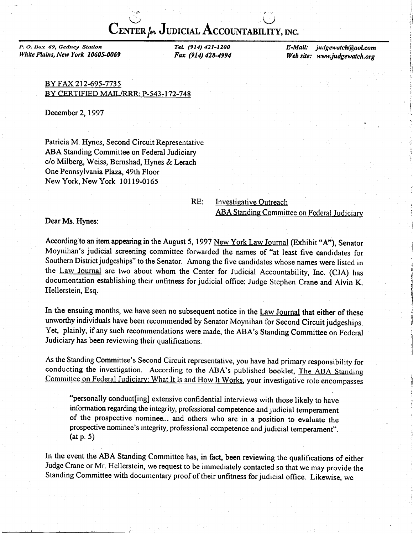$\widetilde{\textbf{C}}$ enter (m. Judicial Accountability, inc.

 $\mathcal{M}_{\mathcal{G}}$  is a set of  $\mathcal{M}_{\mathcal{G}}$  . The set of  $\mathcal{M}_{\mathcal{G}}$ 

P. O. Dox 69, Gedney Station White Plains, New York 10605-0069 TeL (914) 421-1200 Fax (914) 428-4994 E-Mail: judgewatch@aol.com Web site: www.judgewatch.org

> .t , l  $\epsilon_{\rm i}$

ii

BY FAX 212-695-7735 BY CERTIFIED MAIL/RRR: P-543-l 72-748

December 2,1997

Patricia M. Hynes, Second Circuit Representative ABA Standing Committee on Federal Judiciary c/o Milberg, Weiss, Bernshad, Hynes & Lerach One Pennsylvania Plaza, 49th Floor New York, New York l0l 19-0165

RE: Investigative Outreach **ABA Standing Committee on Federal Judiciary** 

Dear Ms. Hynes:

According to an item appearing in the August 5, 1997 New York Law Journal (Exhibit "A"), Senator Moynihan's judicial screening committee forwarded the names of "at least five candidates for Southern District judgeships" to the Senator. Among the five candidates whose names were listed in the Law Journal are two about whom the Center for Judicial Accountability, Inc. (CJA) has documentation establishing their unfitness for judicial office: Judge Stephen Crane and Alvin K. Hellerstein, Esq.

In the ensuing months, we have seen no subsequent notice in the Law Journal that either of these unworthy individuals have been recommended by Senator Moynihan for Second Circuit judgeships. Yet, plainly, if any such recommendations were made, the ABA's Standing Committee on Federal Judiciary has been reviewing their qualifications.

As the Standing Committee's Second Circuit representative, you have had primary responsibility for conducting the investigation. According to the ABA's published booklet, The ABA Standing Committee on Federal Judiciary: What It Is and How It Works, your investigative role encompasses

"personally conduct[ing] extensive confidential interviews with those likely to have information regarding the integrity, professional competence and judicial temperament of the prospective nominee... and others who are in a position to evaluate the prospective nominee's integrity, professional competence and judicial temperament". (at p. 5)

In the event the ABA Standing Committee has, in fact, been reviewing the qualifications of either Judge Crane or Mr. Hellerstein, we request to be immediately contacted so that we may provide the Standing Committee with documentary proof of their unfitness for judicial offrce. Likewise, we